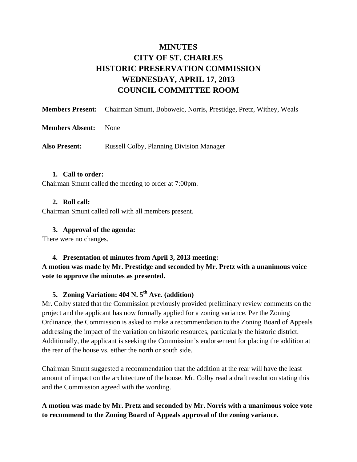# **MINUTES CITY OF ST. CHARLES HISTORIC PRESERVATION COMMISSION WEDNESDAY, APRIL 17, 2013 COUNCIL COMMITTEE ROOM**

|                        | <b>Members Present:</b> Chairman Smunt, Boboweic, Norris, Prestidge, Pretz, Withey, Weals |
|------------------------|-------------------------------------------------------------------------------------------|
| <b>Members Absent:</b> | <b>None</b>                                                                               |
| <b>Also Present:</b>   | <b>Russell Colby, Planning Division Manager</b>                                           |

#### **1. Call to order:**

Chairman Smunt called the meeting to order at 7:00pm.

#### **2. Roll call:**

Chairman Smunt called roll with all members present.

#### **3. Approval of the agenda:**

There were no changes.

# **4. Presentation of minutes from April 3, 2013 meeting: A motion was made by Mr. Prestidge and seconded by Mr. Pretz with a unanimous voice vote to approve the minutes as presented.**

# **5. Zoning Variation: 404 N. 5th Ave. (addition)**

Mr. Colby stated that the Commission previously provided preliminary review comments on the project and the applicant has now formally applied for a zoning variance. Per the Zoning Ordinance, the Commission is asked to make a recommendation to the Zoning Board of Appeals addressing the impact of the variation on historic resources, particularly the historic district. Additionally, the applicant is seeking the Commission's endorsement for placing the addition at the rear of the house vs. either the north or south side.

Chairman Smunt suggested a recommendation that the addition at the rear will have the least amount of impact on the architecture of the house. Mr. Colby read a draft resolution stating this and the Commission agreed with the wording.

# **A motion was made by Mr. Pretz and seconded by Mr. Norris with a unanimous voice vote to recommend to the Zoning Board of Appeals approval of the zoning variance.**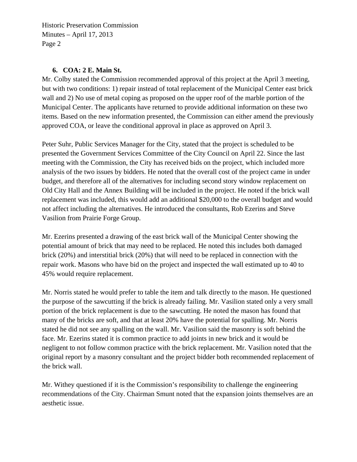#### **6. COA: 2 E. Main St.**

Mr. Colby stated the Commission recommended approval of this project at the April 3 meeting, but with two conditions: 1) repair instead of total replacement of the Municipal Center east brick wall and 2) No use of metal coping as proposed on the upper roof of the marble portion of the Municipal Center. The applicants have returned to provide additional information on these two items. Based on the new information presented, the Commission can either amend the previously approved COA, or leave the conditional approval in place as approved on April 3.

Peter Suhr, Public Services Manager for the City, stated that the project is scheduled to be presented the Government Services Committee of the City Council on April 22. Since the last meeting with the Commission, the City has received bids on the project, which included more analysis of the two issues by bidders. He noted that the overall cost of the project came in under budget, and therefore all of the alternatives for including second story window replacement on Old City Hall and the Annex Building will be included in the project. He noted if the brick wall replacement was included, this would add an additional \$20,000 to the overall budget and would not affect including the alternatives. He introduced the consultants, Rob Ezerins and Steve Vasilion from Prairie Forge Group.

Mr. Ezerins presented a drawing of the east brick wall of the Municipal Center showing the potential amount of brick that may need to be replaced. He noted this includes both damaged brick (20%) and interstitial brick (20%) that will need to be replaced in connection with the repair work. Masons who have bid on the project and inspected the wall estimated up to 40 to 45% would require replacement.

Mr. Norris stated he would prefer to table the item and talk directly to the mason. He questioned the purpose of the sawcutting if the brick is already failing. Mr. Vasilion stated only a very small portion of the brick replacement is due to the sawcutting. He noted the mason has found that many of the bricks are soft, and that at least 20% have the potential for spalling. Mr. Norris stated he did not see any spalling on the wall. Mr. Vasilion said the masonry is soft behind the face. Mr. Ezerins stated it is common practice to add joints in new brick and it would be negligent to not follow common practice with the brick replacement. Mr. Vasilion noted that the original report by a masonry consultant and the project bidder both recommended replacement of the brick wall.

Mr. Withey questioned if it is the Commission's responsibility to challenge the engineering recommendations of the City. Chairman Smunt noted that the expansion joints themselves are an aesthetic issue.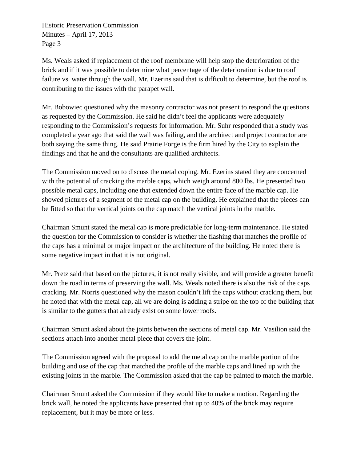Ms. Weals asked if replacement of the roof membrane will help stop the deterioration of the brick and if it was possible to determine what percentage of the deterioration is due to roof failure vs. water through the wall. Mr. Ezerins said that is difficult to determine, but the roof is contributing to the issues with the parapet wall.

Mr. Bobowiec questioned why the masonry contractor was not present to respond the questions as requested by the Commission. He said he didn't feel the applicants were adequately responding to the Commission's requests for information. Mr. Suhr responded that a study was completed a year ago that said the wall was failing, and the architect and project contractor are both saying the same thing. He said Prairie Forge is the firm hired by the City to explain the findings and that he and the consultants are qualified architects.

The Commission moved on to discuss the metal coping. Mr. Ezerins stated they are concerned with the potential of cracking the marble caps, which weigh around 800 lbs. He presented two possible metal caps, including one that extended down the entire face of the marble cap. He showed pictures of a segment of the metal cap on the building. He explained that the pieces can be fitted so that the vertical joints on the cap match the vertical joints in the marble.

Chairman Smunt stated the metal cap is more predictable for long-term maintenance. He stated the question for the Commission to consider is whether the flashing that matches the profile of the caps has a minimal or major impact on the architecture of the building. He noted there is some negative impact in that it is not original.

Mr. Pretz said that based on the pictures, it is not really visible, and will provide a greater benefit down the road in terms of preserving the wall. Ms. Weals noted there is also the risk of the caps cracking. Mr. Norris questioned why the mason couldn't lift the caps without cracking them, but he noted that with the metal cap, all we are doing is adding a stripe on the top of the building that is similar to the gutters that already exist on some lower roofs.

Chairman Smunt asked about the joints between the sections of metal cap. Mr. Vasilion said the sections attach into another metal piece that covers the joint.

The Commission agreed with the proposal to add the metal cap on the marble portion of the building and use of the cap that matched the profile of the marble caps and lined up with the existing joints in the marble. The Commission asked that the cap be painted to match the marble.

Chairman Smunt asked the Commission if they would like to make a motion. Regarding the brick wall, he noted the applicants have presented that up to 40% of the brick may require replacement, but it may be more or less.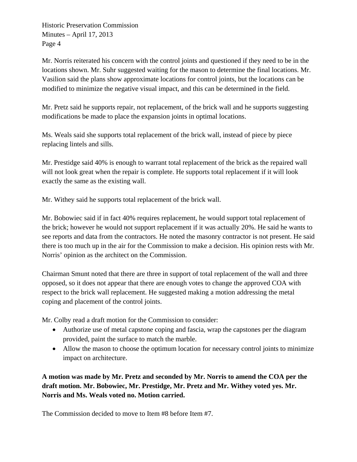Mr. Norris reiterated his concern with the control joints and questioned if they need to be in the locations shown. Mr. Suhr suggested waiting for the mason to determine the final locations. Mr. Vasilion said the plans show approximate locations for control joints, but the locations can be modified to minimize the negative visual impact, and this can be determined in the field.

Mr. Pretz said he supports repair, not replacement, of the brick wall and he supports suggesting modifications be made to place the expansion joints in optimal locations.

Ms. Weals said she supports total replacement of the brick wall, instead of piece by piece replacing lintels and sills.

Mr. Prestidge said 40% is enough to warrant total replacement of the brick as the repaired wall will not look great when the repair is complete. He supports total replacement if it will look exactly the same as the existing wall.

Mr. Withey said he supports total replacement of the brick wall.

Mr. Bobowiec said if in fact 40% requires replacement, he would support total replacement of the brick; however he would not support replacement if it was actually 20%. He said he wants to see reports and data from the contractors. He noted the masonry contractor is not present. He said there is too much up in the air for the Commission to make a decision. His opinion rests with Mr. Norris' opinion as the architect on the Commission.

Chairman Smunt noted that there are three in support of total replacement of the wall and three opposed, so it does not appear that there are enough votes to change the approved COA with respect to the brick wall replacement. He suggested making a motion addressing the metal coping and placement of the control joints.

Mr. Colby read a draft motion for the Commission to consider:

- Authorize use of metal capstone coping and fascia, wrap the capstones per the diagram provided, paint the surface to match the marble.
- Allow the mason to choose the optimum location for necessary control joints to minimize impact on architecture.

**A motion was made by Mr. Pretz and seconded by Mr. Norris to amend the COA per the draft motion. Mr. Bobowiec, Mr. Prestidge, Mr. Pretz and Mr. Withey voted yes. Mr. Norris and Ms. Weals voted no. Motion carried.** 

The Commission decided to move to Item #8 before Item #7.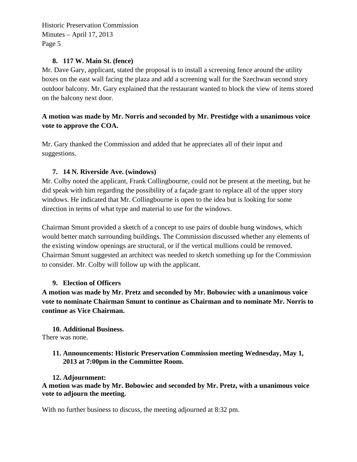#### **8. 117 W. Main St. (fence)**

Mr. Dave Gary, applicant, stated the proposal is to install a screening fence around the utility boxes on the east wall facing the plaza and add a screening wall for the Szechwan second story outdoor balcony. Mr. Gary explained that the restaurant wanted to block the view of items stored on the balcony next door.

# **A motion was made by Mr. Norris and seconded by Mr. Prestidge with a unanimous voice vote to approve the COA.**

Mr. Gary thanked the Commission and added that he appreciates all of their input and suggestions.

### **7. 14 N. Riverside Ave. (windows)**

Mr. Colby noted the applicant, Frank Collingbourne, could not be present at the meeting, but he did speak with him regarding the possibility of a façade grant to replace all of the upper story windows. He indicated that Mr. Collingbourne is open to the idea but is looking for some direction in terms of what type and material to use for the windows.

Chairman Smunt provided a sketch of a concept to use pairs of double hung windows, which would better match surrounding buildings. The Commission discussed whether any elements of the existing window openings are structural, or if the vertical mullions could be removed. Chairman Smunt suggested an architect was needed to sketch something up for the Commission to consider. Mr. Colby will follow up with the applicant.

#### **9. Election of Officers**

**A motion was made by Mr. Pretz and seconded by Mr. Bobowiec with a unanimous voice vote to nominate Chairman Smunt to continue as Chairman and to nominate Mr. Norris to continue as Vice Chairman.** 

**10. Additional Business.**  There was none.

#### **11. Announcements: Historic Preservation Commission meeting Wednesday, May 1, 2013 at 7:00pm in the Committee Room.**

#### **12. Adjournment:**

**A motion was made by Mr. Bobowiec and seconded by Mr. Pretz, with a unanimous voice vote to adjourn the meeting.** 

With no further business to discuss, the meeting adjourned at 8:32 pm.